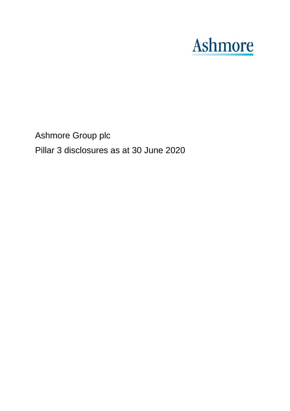# **Ashmore**

Ashmore Group plc

Pillar 3 disclosures as at 30 June 2020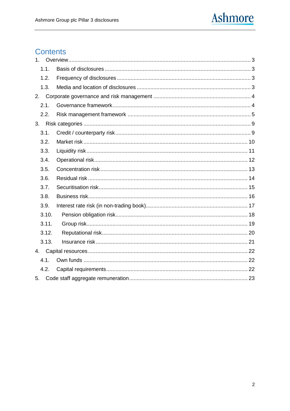

# Contents

| 1 <sup>1</sup> |       |  |
|----------------|-------|--|
|                | 1.1.  |  |
|                | 1.2.  |  |
|                | 1.3.  |  |
|                |       |  |
|                | 2.1.  |  |
|                | 2.2.  |  |
|                |       |  |
|                | 3.1.  |  |
|                | 3.2.  |  |
|                | 3.3.  |  |
|                | 3.4.  |  |
|                | 3.5.  |  |
|                | 3.6.  |  |
|                | 3.7.  |  |
|                | 3.8.  |  |
|                | 3.9.  |  |
|                | 3.10. |  |
|                | 3.11. |  |
|                | 3.12. |  |
|                | 3.13. |  |
|                |       |  |
|                | 4.1.  |  |
|                | 4.2.  |  |
| 5.             |       |  |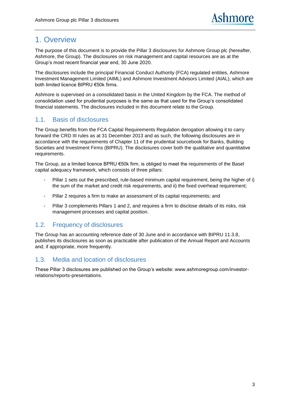# <span id="page-2-0"></span>1. Overview

The purpose of this document is to provide the Pillar 3 disclosures for Ashmore Group plc (hereafter, Ashmore, the Group). The disclosures on risk management and capital resources are as at the Group's most recent financial year end, 30 June 2020.

The disclosures include the principal Financial Conduct Authority (FCA) regulated entities, Ashmore Investment Management Limited (AIML) and Ashmore Investment Advisors Limited (AIAL), which are both limited licence BIPRU €50k firms.

Ashmore is supervised on a consolidated basis in the United Kingdom by the FCA. The method of consolidation used for prudential purposes is the same as that used for the Group's consolidated financial statements. The disclosures included in this document relate to the Group.

## <span id="page-2-1"></span>1.1. Basis of disclosures

The Group benefits from the FCA Capital Requirements Regulation derogation allowing it to carry forward the CRD III rules as at 31 December 2013 and as such, the following disclosures are in accordance with the requirements of Chapter 11 of the prudential sourcebook for Banks, Building Societies and Investment Firms (BIPRU). The disclosures cover both the qualitative and quantitative requirements.

The Group, as a limited licence BPRU €50k firm, is obliged to meet the requirements of the Basel capital adequacy framework, which consists of three pillars:

- Pillar 1 sets out the prescribed, rule-based minimum capital requirement, being the higher of i) the sum of the market and credit risk requirements, and ii) the fixed overhead requirement;
- Pillar 2 requires a firm to make an assessment of its capital requirements; and
- Pillar 3 complements Pillars 1 and 2, and requires a firm to disclose details of its risks, risk management processes and capital position.

#### <span id="page-2-2"></span>1.2. Frequency of disclosures

The Group has an accounting reference date of 30 June and in accordance with BIPRU 11.3.8, publishes its disclosures as soon as practicable after publication of the Annual Report and Accounts and, if appropriate, more frequently.

### <span id="page-2-3"></span>1.3. Media and location of disclosures

These Pillar 3 disclosures are published on the Group's website: www.ashmoregroup.com/investorrelations/reports-presentations.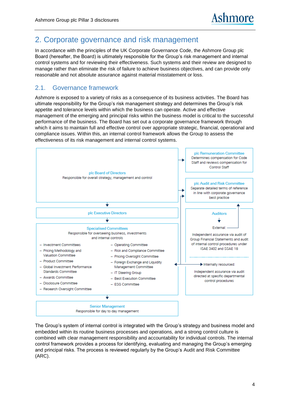# <span id="page-3-0"></span>2. Corporate governance and risk management

In accordance with the principles of the UK Corporate Governance Code, the Ashmore Group plc Board (hereafter, the Board) is ultimately responsible for the Group's risk management and internal control systems and for reviewing their effectiveness. Such systems and their review are designed to manage rather than eliminate the risk of failure to achieve business objectives, and can provide only reasonable and not absolute assurance against material misstatement or loss.

#### <span id="page-3-1"></span>2.1. Governance framework

Ashmore is exposed to a variety of risks as a consequence of its business activities. The Board has ultimate responsibility for the Group's risk management strategy and determines the Group's risk appetite and tolerance levels within which the business can operate. Active and effective management of the emerging and principal risks within the business model is critical to the successful performance of the business. The Board has set out a corporate governance framework through which it aims to maintain full and effective control over appropriate strategic, financial, operational and compliance issues. Within this, an internal control framework allows the Group to assess the effectiveness of its risk management and internal control systems.



The Group's system of internal control is integrated with the Group's strategy and business model and embedded within its routine business processes and operations, and a strong control culture is combined with clear management responsibility and accountability for individual controls. The internal control framework provides a process for identifying, evaluating and managing the Group's emerging and principal risks. The process is reviewed regularly by the Group's Audit and Risk Committee (ARC).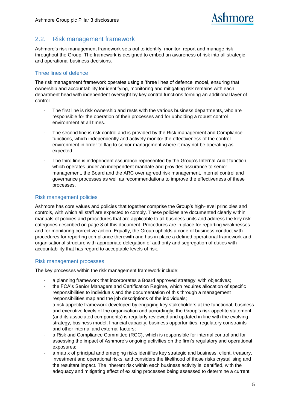#### <span id="page-4-0"></span>2.2. Risk management framework

Ashmore's risk management framework sets out to identify, monitor, report and manage risk throughout the Group. The framework is designed to embed an awareness of risk into all strategic and operational business decisions.

#### Three lines of defence

The risk management framework operates using a 'three lines of defence' model, ensuring that ownership and accountability for identifying, monitoring and mitigating risk remains with each department head with independent oversight by key control functions forming an additional layer of control.

- The first line is risk ownership and rests with the various business departments, who are responsible for the operation of their processes and for upholding a robust control environment at all times.
- The second line is risk control and is provided by the Risk management and Compliance functions, which independently and actively monitor the effectiveness of the control environment in order to flag to senior management where it may not be operating as expected.
- The third line is independent assurance represented by the Group's Internal Audit function, which operates under an independent mandate and provides assurance to senior management, the Board and the ARC over agreed risk management, internal control and governance processes as well as recommendations to improve the effectiveness of these processes.

#### Risk management policies

Ashmore has core values and policies that together comprise the Group's high-level principles and controls, with which all staff are expected to comply. These policies are documented clearly within manuals of policies and procedures that are applicable to all business units and address the key risk categories described on page [8](#page-7-0) of this document. Procedures are in place for reporting weaknesses and for monitoring corrective action. Equally, the Group upholds a code of business conduct with procedures for reporting compliance therewith and has in place a defined operational framework and organisational structure with appropriate delegation of authority and segregation of duties with accountability that has regard to acceptable levels of risk.

#### Risk management processes

The key processes within the risk management framework include:

- a planning framework that incorporates a Board approved strategy, with objectives;
- the FCA's Senior Managers and Certification Regime, which requires allocation of specific responsibilities to individuals and the documentation of this through a management responsibilities map and the job descriptions of the individuals;
- a risk appetite framework developed by engaging key stakeholders at the functional, business and executive levels of the organisation and accordingly, the Group's risk appetite statement (and its associated components) is regularly reviewed and updated in line with the evolving strategy, business model, financial capacity, business opportunities, regulatory constraints and other internal and external factors;
- a Risk and Compliance Committee (RCC), which is responsible for internal control and for assessing the impact of Ashmore's ongoing activities on the firm's regulatory and operational exposures;
- a matrix of principal and emerging risks identifies key strategic and business, client, treasury, investment and operational risks, and considers the likelihood of those risks crystallising and the resultant impact. The inherent risk within each business activity is identified, with the adequacy and mitigating effect of existing processes being assessed to determine a current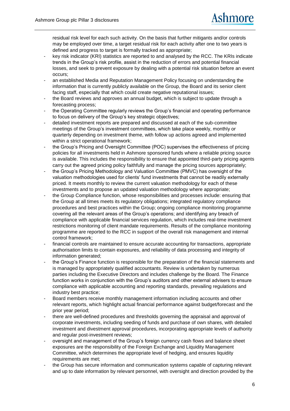residual risk level for each such activity. On the basis that further mitigants and/or controls may be employed over time, a target residual risk for each activity after one to two years is defined and progress to target is formally tracked as appropriate;

- key risk indicator (KRI) statistics are reported to and analysed by the RCC. The KRIs indicate trends in the Group's risk profile, assist in the reduction of errors and potential financial losses, and seek to prevent exposure by dealing with a potential risk situation before an event occurs;
- an established Media and Reputation Management Policy focusing on understanding the information that is currently publicly available on the Group, the Board and its senior client facing staff, especially that which could create negative reputational issues;
- the Board reviews and approves an annual budget, which is subject to update through a forecasting process:
- the Operating Committee regularly reviews the Group's financial and operating performance to focus on delivery of the Group's key strategic objectives;
- detailed investment reports are prepared and discussed at each of the sub-committee meetings of the Group's investment committees, which take place weekly, monthly or quarterly depending on investment theme, with follow up actions agreed and implemented within a strict operational framework;
- the Group's Pricing and Oversight Committee (POC) supervises the effectiveness of pricing policies for all investments held in Ashmore sponsored funds where a reliable pricing source is available. This includes the responsibility to ensure that appointed third-party pricing agents carry out the agreed pricing policy faithfully and manage the pricing sources appropriately;
- the Group's Pricing Methodology and Valuation Committee (PMVC) has oversight of the valuation methodologies used for clients' fund investments that cannot be readily externally priced. It meets monthly to review the current valuation methodology for each of these investments and to propose an updated valuation methodology where appropriate;
- the Group Compliance function, whose responsibilities and processes include: ensuring that the Group at all times meets its regulatory obligations; integrated regulatory compliance procedures and best practices within the Group; ongoing compliance monitoring programme covering all the relevant areas of the Group's operations; and identifying any breach of compliance with applicable financial services regulation, which includes real-time investment restrictions monitoring of client mandate requirements. Results of the compliance monitoring programme are reported to the RCC in support of the overall risk management and internal control framework;
- financial controls are maintained to ensure accurate accounting for transactions, appropriate authorisation limits to contain exposures, and reliability of data processing and integrity of information generated;
- the Group's Finance function is responsible for the preparation of the financial statements and is managed by appropriately qualified accountants. Review is undertaken by numerous parties including the Executive Directors and includes challenge by the Board. The Finance function works in conjunction with the Group's auditors and other external advisers to ensure compliance with applicable accounting and reporting standards, prevailing regulations and industry best practice;
- Board members receive monthly management information including accounts and other relevant reports, which highlight actual financial performance against budget/forecast and the prior year period;
- there are well-defined procedures and thresholds governing the appraisal and approval of corporate investments, including seeding of funds and purchase of own shares, with detailed investment and divestment approval procedures, incorporating appropriate levels of authority and regular post-investment reviews;
- oversight and management of the Group's foreign currency cash flows and balance sheet exposures are the responsibility of the Foreign Exchange and Liquidity Management Committee, which determines the appropriate level of hedging, and ensures liquidity requirements are met;
- the Group has secure information and communication systems capable of capturing relevant and up to date information by relevant personnel, with oversight and direction provided by the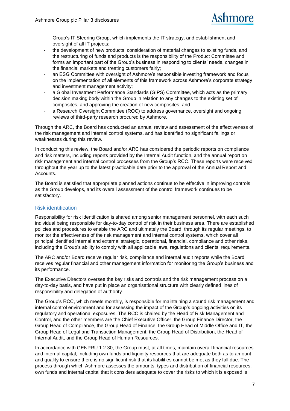Group's IT Steering Group, which implements the IT strategy, and establishment and oversight of all IT projects;

- the development of new products, consideration of material changes to existing funds, and the restructuring of funds and products is the responsibility of the Product Committee and forms an important part of the Group's business in responding to clients' needs, changes in the financial markets and treating customers fairly;
- an ESG Committee with oversight of Ashmore's responsible investing framework and focus on the implementation of all elements of this framework across Ashmore's corporate strategy and investment management activity;
- a Global Investment Performance Standards (GIPS) Committee, which acts as the primary decision making body within the Group in relation to any changes to the existing set of composites, and approving the creation of new composites; and
- a Research Oversight Committee (ROC) to address governance, oversight and ongoing reviews of third-party research procured by Ashmore.

Through the ARC, the Board has conducted an annual review and assessment of the effectiveness of the risk management and internal control systems, and has identified no significant failings or weaknesses during this review.

In conducting this review, the Board and/or ARC has considered the periodic reports on compliance and risk matters, including reports provided by the Internal Audit function, and the annual report on risk management and internal control processes from the Group's RCC. These reports were received throughout the year up to the latest practicable date prior to the approval of the Annual Report and Accounts.

The Board is satisfied that appropriate planned actions continue to be effective in improving controls as the Group develops, and its overall assessment of the control framework continues to be satisfactory.

#### Risk identification

Responsibility for risk identification is shared among senior management personnel, with each such individual being responsible for day-to-day control of risk in their business area. There are established policies and procedures to enable the ARC and ultimately the Board, through its regular meetings, to monitor the effectiveness of the risk management and internal control systems, which cover all principal identified internal and external strategic, operational, financial, compliance and other risks, including the Group's ability to comply with all applicable laws, regulations and clients' requirements.

The ARC and/or Board receive regular risk, compliance and internal audit reports while the Board receives regular financial and other management information for monitoring the Group's business and its performance.

The Executive Directors oversee the key risks and controls and the risk management process on a day-to-day basis, and have put in place an organisational structure with clearly defined lines of responsibility and delegation of authority.

The Group's RCC, which meets monthly, is responsible for maintaining a sound risk management and internal control environment and for assessing the impact of the Group's ongoing activities on its regulatory and operational exposures. The RCC is chaired by the Head of Risk Management and Control, and the other members are the Chief Executive Officer, the Group Finance Director, the Group Head of Compliance, the Group Head of Finance, the Group Head of Middle Office and IT, the Group Head of Legal and Transaction Management, the Group Head of Distribution, the Head of Internal Audit, and the Group Head of Human Resources.

In accordance with GENPRU 1.2.30, the Group must, at all times, maintain overall financial resources and internal capital, including own funds and liquidity resources that are adequate both as to amount and quality to ensure there is no significant risk that its liabilities cannot be met as they fall due. The process through which Ashmore assesses the amounts, types and distribution of financial resources, own funds and internal capital that it considers adequate to cover the risks to which it is exposed is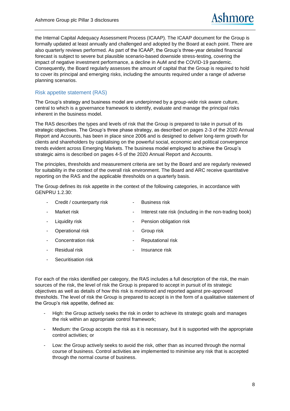the Internal Capital Adequacy Assessment Process (ICAAP). The ICAAP document for the Group is formally updated at least annually and challenged and adopted by the Board at each point. There are also quarterly reviews performed. As part of the ICAAP, the Group's three-year detailed financial forecast is subject to severe but plausible scenario-based downside stress-testing, covering the impact of negative investment performance, a decline in AuM and the COVID-19 pandemic. Consequently, the Board regularly assesses the amount of capital that the Group is required to hold to cover its principal and emerging risks, including the amounts required under a range of adverse planning scenarios.

#### Risk appetite statement (RAS)

The Group's strategy and business model are underpinned by a group-wide risk aware culture, central to which is a governance framework to identify, evaluate and manage the principal risks inherent in the business model.

The RAS describes the types and levels of risk that the Group is prepared to take in pursuit of its strategic objectives. The Group's three phase strategy, as described on pages 2-3 of the 2020 Annual Report and Accounts, has been in place since 2006 and is designed to deliver long-term growth for clients and shareholders by capitalising on the powerful social, economic and political convergence trends evident across Emerging Markets. The business model employed to achieve the Group's strategic aims is described on pages 4-5 of the 2020 Annual Report and Accounts.

The principles, thresholds and measurement criteria are set by the Board and are regularly reviewed for suitability in the context of the overall risk environment. The Board and ARC receive quantitative reporting on the RAS and the applicable thresholds on a quarterly basis.

The Group defines its risk appetite in the context of the following categories, in accordance with GENPRU 1.2.30:

<span id="page-7-0"></span>

| $\blacksquare$           | Credit / counterparty risk |    | <b>Business risk</b>                                   |
|--------------------------|----------------------------|----|--------------------------------------------------------|
| ٠                        | Market risk                | ۰. | Interest rate risk (including in the non-trading book) |
|                          | Liquidity risk             | ۰. | Pension obligation risk                                |
|                          | Operational risk           | ۰. | Group risk                                             |
| $\overline{\phantom{a}}$ | Concentration risk         | ۰. | Reputational risk                                      |
|                          | Residual risk              | ۰. | Insurance risk                                         |
|                          |                            |    |                                                        |

Securitisation risk

For each of the risks identified per category, the RAS includes a full description of the risk, the main sources of the risk, the level of risk the Group is prepared to accept in pursuit of its strategic objectives as well as details of how this risk is monitored and reported against pre-approved thresholds. The level of risk the Group is prepared to accept is in the form of a qualitative statement of the Group's risk appetite, defined as:

- High: the Group actively seeks the risk in order to achieve its strategic goals and manages the risk within an appropriate control framework;
- Medium: the Group accepts the risk as it is necessary, but it is supported with the appropriate control activities; or
- Low: the Group actively seeks to avoid the risk, other than as incurred through the normal course of business. Control activities are implemented to minimise any risk that is accepted through the normal course of business.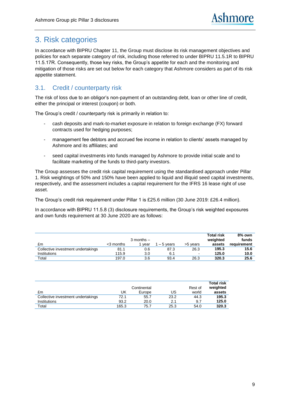# <span id="page-8-0"></span>3. Risk categories

In accordance with BIPRU Chapter 11, the Group must disclose its risk management objectives and policies for each separate category of risk, including those referred to under BIPRU 11.5.1R to BIPRU 11.5.17R. Consequently, those key risks, the Group's appetite for each and the monitoring and mitigation of those risks are set out below for each category that Ashmore considers as part of its risk appetite statement.

## <span id="page-8-1"></span>3.1. Credit / counterparty risk

The risk of loss due to an obligor's non-payment of an outstanding debt, loan or other line of credit, either the principal or interest (coupon) or both.

The Group's credit / counterparty risk is primarily in relation to:

- cash deposits and mark-to-market exposure in relation to foreign exchange (FX) forward contracts used for hedging purposes;
- management fee debtors and accrued fee income in relation to clients' assets managed by Ashmore and its affiliates; and
- seed capital investments into funds managed by Ashmore to provide initial scale and to facilitate marketing of the funds to third-party investors.

The Group assesses the credit risk capital requirement using the standardised approach under Pillar 1. Risk weightings of 50% and 150% have been applied to liquid and illiquid seed capital investments, respectively, and the assessment includes a capital requirement for the IFRS 16 lease right of use asset.

The Group's credit risk requirement under Pillar 1 is £25.6 million (30 June 2019: £26.4 million).

In accordance with BIPRU 11.5.8 (3) disclosure requirements, the Group's risk weighted exposures and own funds requirement at 30 June 2020 are as follows:

|                                    |           | $3$ months $-$ |            |          | <b>Total risk</b><br>weighted | 8% own<br>funds |
|------------------------------------|-----------|----------------|------------|----------|-------------------------------|-----------------|
| £m                                 | <3 months | vear           | $-5$ vears | >5 vears | assets                        | requirement     |
| Collective investment undertakings | 81.1      | 0.6            | 87.3       | 26.3     | 195.3                         | 15.6            |
| Institutions                       | 115.9     | 3.0            | 6.1        | $\sim$   | 125.0                         | 10.0            |
| Total                              | 197.0     | 3.6            | 93.4       | 26.3     | 320.3                         | 25.6            |

|                                    |       | Continental |      | Rest of | <b>Total risk</b><br>weighted |
|------------------------------------|-------|-------------|------|---------|-------------------------------|
| £m                                 | UK    | Europe      | US   | world   | assets                        |
| Collective investment undertakings | 72.1  | 55.7        | 23.2 | 44.3    | 195.3                         |
| Institutions                       | 93.2  | 20.0        | 2.1  | 9.7     | 125.0                         |
| Total                              | 165.3 | 75.7        | 25.3 | 54.0    | 320.3                         |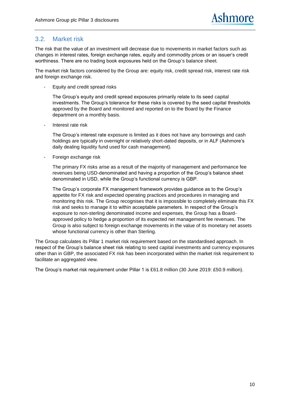#### <span id="page-9-0"></span>3.2. Market risk

The risk that the value of an investment will decrease due to movements in market factors such as changes in interest rates, foreign exchange rates, equity and commodity prices or an issuer's credit worthiness. There are no trading book exposures held on the Group's balance sheet.

The market risk factors considered by the Group are: equity risk, credit spread risk, interest rate risk and foreign exchange risk.

Equity and credit spread risks

The Group's equity and credit spread exposures primarily relate to its seed capital investments. The Group's tolerance for these risks is covered by the seed capital thresholds approved by the Board and monitored and reported on to the Board by the Finance department on a monthly basis.

Interest rate risk

The Group's interest rate exposure is limited as it does not have any borrowings and cash holdings are typically in overnight or relatively short-dated deposits, or in ALF (Ashmore's daily dealing liquidity fund used for cash management).

- Foreign exchange risk

The primary FX risks arise as a result of the majority of management and performance fee revenues being USD-denominated and having a proportion of the Group's balance sheet denominated in USD, while the Group's functional currency is GBP.

The Group's corporate FX management framework provides guidance as to the Group's appetite for FX risk and expected operating practices and procedures in managing and monitoring this risk. The Group recognises that it is impossible to completely eliminate this FX risk and seeks to manage it to within acceptable parameters. In respect of the Group's exposure to non-sterling denominated income and expenses, the Group has a Boardapproved policy to hedge a proportion of its expected net management fee revenues. The Group is also subject to foreign exchange movements in the value of its monetary net assets whose functional currency is other than Sterling.

The Group calculates its Pillar 1 market risk requirement based on the standardised approach. In respect of the Group's balance sheet risk relating to seed capital investments and currency exposures other than in GBP, the associated FX risk has been incorporated within the market risk requirement to facilitate an aggregated view.

The Group's market risk requirement under Pillar 1 is £61.8 million (30 June 2019: £50.9 million).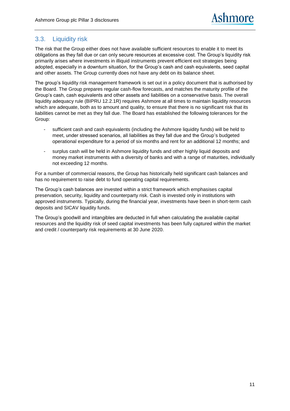#### <span id="page-10-0"></span>3.3. Liquidity risk

The risk that the Group either does not have available sufficient resources to enable it to meet its obligations as they fall due or can only secure resources at excessive cost. The Group's liquidity risk primarily arises where investments in illiquid instruments prevent efficient exit strategies being adopted, especially in a downturn situation, for the Group's cash and cash equivalents, seed capital and other assets. The Group currently does not have any debt on its balance sheet.

The group's liquidity risk management framework is set out in a policy document that is authorised by the Board. The Group prepares regular cash-flow forecasts, and matches the maturity profile of the Group's cash, cash equivalents and other assets and liabilities on a conservative basis. The overall liquidity adequacy rule (BIPRU 12.2.1R) requires Ashmore at all times to maintain liquidity resources which are adequate, both as to amount and quality, to ensure that there is no significant risk that its liabilities cannot be met as they fall due. The Board has established the following tolerances for the Group:

- sufficient cash and cash equivalents (including the Ashmore liquidity funds) will be held to meet, under stressed scenarios, all liabilities as they fall due and the Group's budgeted operational expenditure for a period of six months and rent for an additional 12 months; and
- surplus cash will be held in Ashmore liquidity funds and other highly liquid deposits and money market instruments with a diversity of banks and with a range of maturities, individually not exceeding 12 months.

For a number of commercial reasons, the Group has historically held significant cash balances and has no requirement to raise debt to fund operating capital requirements.

The Group's cash balances are invested within a strict framework which emphasises capital preservation, security, liquidity and counterparty risk. Cash is invested only in institutions with approved instruments. Typically, during the financial year, investments have been in short-term cash deposits and SICAV liquidity funds.

The Group's goodwill and intangibles are deducted in full when calculating the available capital resources and the liquidity risk of seed capital investments has been fully captured within the market and credit / counterparty risk requirements at 30 June 2020.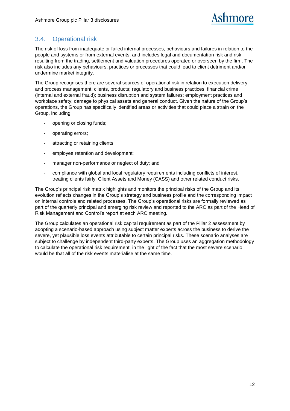#### <span id="page-11-0"></span>3.4. Operational risk

The risk of loss from inadequate or failed internal processes, behaviours and failures in relation to the people and systems or from external events, and includes legal and documentation risk and risk resulting from the trading, settlement and valuation procedures operated or overseen by the firm. The risk also includes any behaviours, practices or processes that could lead to client detriment and/or undermine market integrity.

The Group recognises there are several sources of operational risk in relation to execution delivery and process management; clients, products; regulatory and business practices; financial crime (internal and external fraud); business disruption and system failures; employment practices and workplace safety; damage to physical assets and general conduct. Given the nature of the Group's operations, the Group has specifically identified areas or activities that could place a strain on the Group, including:

- opening or closing funds;
- operating errors;
- attracting or retaining clients;
- employee retention and development;
- manager non-performance or neglect of duty; and
- compliance with global and local regulatory requirements including conflicts of interest, treating clients fairly, Client Assets and Money (CASS) and other related conduct risks.

The Group's principal risk matrix highlights and monitors the principal risks of the Group and its evolution reflects changes in the Group's strategy and business profile and the corresponding impact on internal controls and related processes. The Group's operational risks are formally reviewed as part of the quarterly principal and emerging risk review and reported to the ARC as part of the Head of Risk Management and Control's report at each ARC meeting.

The Group calculates an operational risk capital requirement as part of the Pillar 2 assessment by adopting a scenario-based approach using subject matter experts across the business to derive the severe, yet plausible loss events attributable to certain principal risks. These scenario analyses are subject to challenge by independent third-party experts. The Group uses an aggregation methodology to calculate the operational risk requirement, in the light of the fact that the most severe scenario would be that all of the risk events materialise at the same time.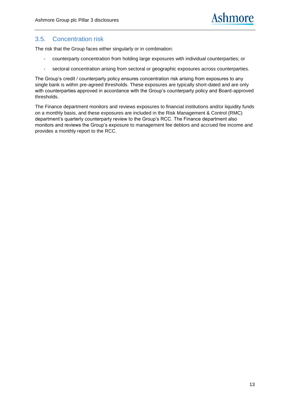#### <span id="page-12-0"></span>3.5. Concentration risk

The risk that the Group faces either singularly or in combination:

- counterparty concentration from holding large exposures with individual counterparties; or
- sectoral concentration arising from sectoral or geographic exposures across counterparties.

The Group's credit / counterparty policy ensures concentration risk arising from exposures to any single bank is within pre-agreed thresholds. These exposures are typically short-dated and are only with counterparties approved in accordance with the Group's counterparty policy and Board-approved thresholds.

The Finance department monitors and reviews exposures to financial institutions and/or liquidity funds on a monthly basis, and these exposures are included in the Risk Management & Control (RMC) department's quarterly counterparty review to the Group's RCC. The Finance department also monitors and reviews the Group's exposure to management fee debtors and accrued fee income and provides a monthly report to the RCC.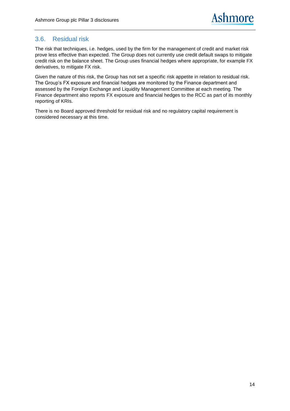#### <span id="page-13-0"></span>3.6. Residual risk

The risk that techniques, i.e. hedges, used by the firm for the management of credit and market risk prove less effective than expected. The Group does not currently use credit default swaps to mitigate credit risk on the balance sheet. The Group uses financial hedges where appropriate, for example FX derivatives, to mitigate FX risk.

Given the nature of this risk, the Group has not set a specific risk appetite in relation to residual risk. The Group's FX exposure and financial hedges are monitored by the Finance department and assessed by the Foreign Exchange and Liquidity Management Committee at each meeting. The Finance department also reports FX exposure and financial hedges to the RCC as part of its monthly reporting of KRIs.

There is no Board approved threshold for residual risk and no regulatory capital requirement is considered necessary at this time.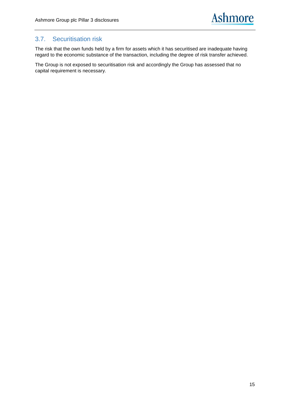#### <span id="page-14-0"></span>3.7. Securitisation risk

The risk that the own funds held by a firm for assets which it has securitised are inadequate having regard to the economic substance of the transaction, including the degree of risk transfer achieved.

The Group is not exposed to securitisation risk and accordingly the Group has assessed that no capital requirement is necessary.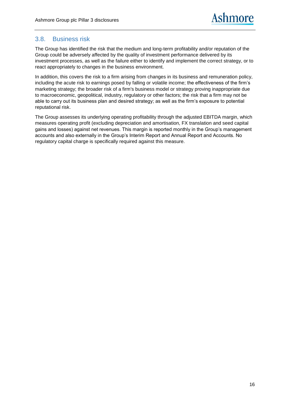#### <span id="page-15-0"></span>3.8. Business risk

The Group has identified the risk that the medium and long-term profitability and/or reputation of the Group could be adversely affected by the quality of investment performance delivered by its investment processes, as well as the failure either to identify and implement the correct strategy, or to react appropriately to changes in the business environment.

In addition, this covers the risk to a firm arising from changes in its business and remuneration policy, including the acute risk to earnings posed by falling or volatile income; the effectiveness of the firm's marketing strategy; the broader risk of a firm's business model or strategy proving inappropriate due to macroeconomic, geopolitical, industry, regulatory or other factors; the risk that a firm may not be able to carry out its business plan and desired strategy; as well as the firm's exposure to potential reputational risk.

The Group assesses its underlying operating profitability through the adjusted EBITDA margin, which measures operating profit (excluding depreciation and amortisation, FX translation and seed capital gains and losses) against net revenues. This margin is reported monthly in the Group's management accounts and also externally in the Group's Interim Report and Annual Report and Accounts. No regulatory capital charge is specifically required against this measure.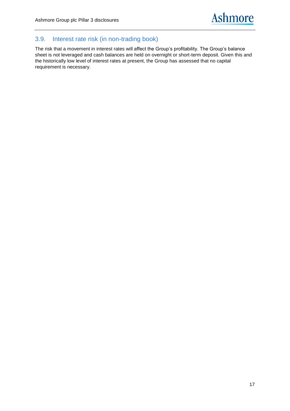## <span id="page-16-0"></span>3.9. Interest rate risk (in non-trading book)

The risk that a movement in interest rates will affect the Group's profitability. The Group's balance sheet is not leveraged and cash balances are held on overnight or short-term deposit. Given this and the historically low level of interest rates at present, the Group has assessed that no capital requirement is necessary.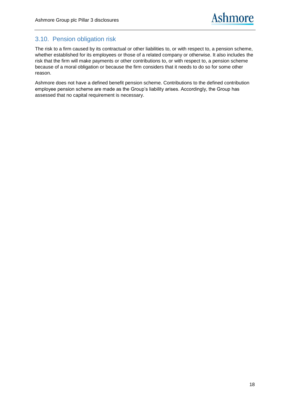#### <span id="page-17-0"></span>3.10. Pension obligation risk

The risk to a firm caused by its contractual or other liabilities to, or with respect to, a pension scheme, whether established for its employees or those of a related company or otherwise. It also includes the risk that the firm will make payments or other contributions to, or with respect to, a pension scheme because of a moral obligation or because the firm considers that it needs to do so for some other reason.

Ashmore does not have a defined benefit pension scheme. Contributions to the defined contribution employee pension scheme are made as the Group's liability arises. Accordingly, the Group has assessed that no capital requirement is necessary.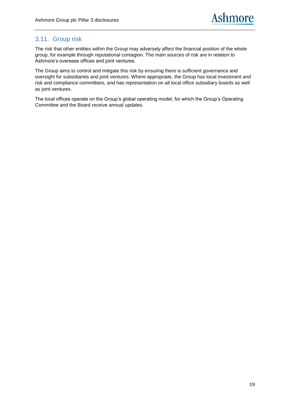### <span id="page-18-0"></span>3.11. Group risk

The risk that other entities within the Group may adversely affect the financial position of the whole group, for example through reputational contagion. The main sources of risk are in relation to Ashmore's overseas offices and joint ventures.

The Group aims to control and mitigate this risk by ensuring there is sufficient governance and oversight for subsidiaries and joint ventures. Where appropriate, the Group has local investment and risk and compliance committees, and has representation on all local office subsidiary boards as well as joint ventures.

The local offices operate on the Group's global operating model, for which the Group's Operating Committee and the Board receive annual updates.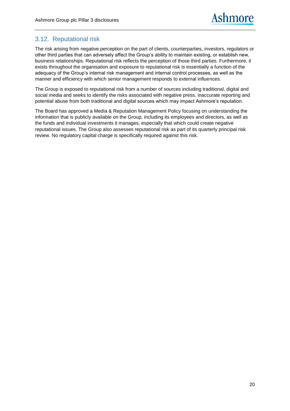#### <span id="page-19-0"></span>3.12. Reputational risk

The risk arising from negative perception on the part of clients, counterparties, investors, regulators or other third parties that can adversely affect the Group's ability to maintain existing, or establish new, business relationships. Reputational risk reflects the perception of those third parties. Furthermore, it exists throughout the organisation and exposure to reputational risk is essentially a function of the adequacy of the Group's internal risk management and internal control processes, as well as the manner and efficiency with which senior management responds to external influences.

The Group is exposed to reputational risk from a number of sources including traditional, digital and social media and seeks to identify the risks associated with negative press, inaccurate reporting and potential abuse from both traditional and digital sources which may impact Ashmore's reputation.

The Board has approved a Media & Reputation Management Policy focusing on understanding the information that is publicly available on the Group, including its employees and directors, as well as the funds and individual investments it manages, especially that which could create negative reputational issues. The Group also assesses reputational risk as part of its quarterly principal risk review. No regulatory capital charge is specifically required against this risk.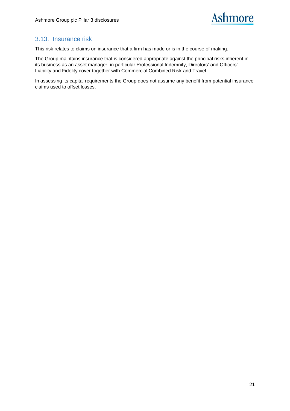#### <span id="page-20-0"></span>3.13. Insurance risk

This risk relates to claims on insurance that a firm has made or is in the course of making.

The Group maintains insurance that is considered appropriate against the principal risks inherent in its business as an asset manager, in particular Professional Indemnity, Directors' and Officers' Liability and Fidelity cover together with Commercial Combined Risk and Travel.

In assessing its capital requirements the Group does not assume any benefit from potential insurance claims used to offset losses.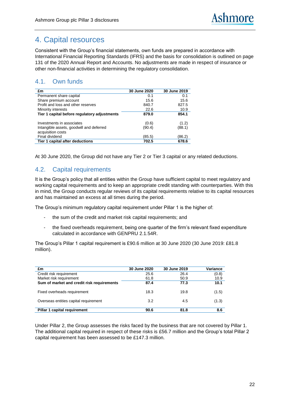# <span id="page-21-0"></span>4. Capital resources

Consistent with the Group's financial statements, own funds are prepared in accordance with International Financial Reporting Standards (IFRS) and the basis for consolidation is outlined on page 131 of the 2020 Annual Report and Accounts. No adjustments are made in respect of insurance or other non-financial activities in determining the regulatory consolidation.

## <span id="page-21-1"></span>4.1. Own funds

| £m                                           | 30 June 2020 | 30 June 2019 |
|----------------------------------------------|--------------|--------------|
| Permanent share capital                      | 0.1          | 0.1          |
| Share premium account                        | 15.6         | 15.6         |
| Profit and loss and other reserves           | 840.7        | 827.5        |
| Minority interests                           | 22.6         | 10.9         |
| Tier 1 capital before regulatory adjustments | 879.0        | 854.1        |
|                                              |              |              |
| Investments in associates                    | (0.6)        | (1.2)        |
| Intangible assets, goodwill and deferred     | (90.4)       | (88.1)       |
| acquisition costs                            |              |              |
| Final dividend                               | (85.5)       | (86.2)       |
| Tier 1 capital after deductions              | 702.5        | 678.6        |

At 30 June 2020, the Group did not have any Tier 2 or Tier 3 capital or any related deductions.

### <span id="page-21-2"></span>4.2. Capital requirements

It is the Group's policy that all entities within the Group have sufficient capital to meet regulatory and working capital requirements and to keep an appropriate credit standing with counterparties. With this in mind, the Group conducts regular reviews of its capital requirements relative to its capital resources and has maintained an excess at all times during the period.

The Group's minimum regulatory capital requirement under Pillar 1 is the higher of:

- the sum of the credit and market risk capital requirements; and
- the fixed overheads requirement, being one quarter of the firm's relevant fixed expenditure calculated in accordance with GENPRU 2.1.54R.

The Group's Pillar 1 capital requirement is £90.6 million at 30 June 2020 (30 June 2019: £81.8 million).

| £m                                         | 30 June 2020 | 30 June 2019 | Variance |
|--------------------------------------------|--------------|--------------|----------|
| Credit risk requirement                    | 25.6         | 26.4         | (0.8)    |
| Market risk requirement                    | 61.8         | 50.9         | 10.9     |
| Sum of market and credit risk requirements | 87.4         | 77.3         | 10.1     |
| Fixed overheads requirement                | 18.3         | 19.8         | (1.5)    |
| Overseas entities capital requirement      | 3.2          | 4.5          | (1.3)    |
| Pillar 1 capital requirement               | 90.6         | 81.8         | 8.6      |

Under Pillar 2, the Group assesses the risks faced by the business that are not covered by Pillar 1. The additional capital required in respect of these risks is £56.7 million and the Group's total Pillar 2 capital requirement has been assessed to be £147.3 million.